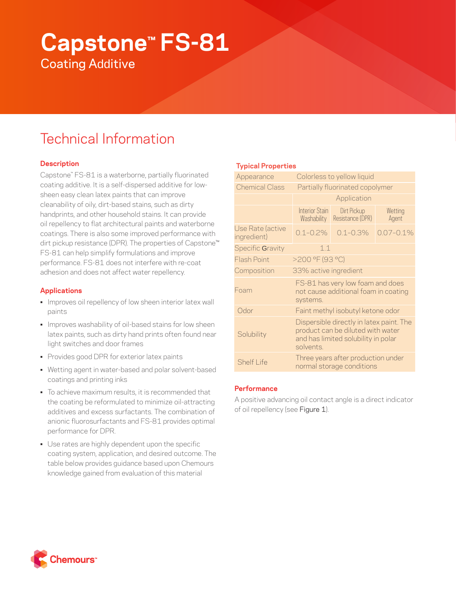# **Capstone™ FS-81** Coating Additive

# Technical Information

# **Description**

Capstone™ FS-81 is a waterborne, partially fluorinated coating additive. It is a self-dispersed additive for lowsheen easy clean latex paints that can improve cleanability of oily, dirt-based stains, such as dirty handprints, and other household stains. It can provide oil repellency to flat architectural paints and waterborne coatings. There is also some improved performance with dirt pickup resistance (DPR). The properties of Capstone™ FS-81 can help simplify formulations and improve performance. FS-81 does not interfere with re-coat adhesion and does not affect water repellency.

# **Applications**

- Improves oil repellency of low sheen interior latex wall paints
- Improves washability of oil-based stains for low sheen latex paints, such as dirty hand prints often found near light switches and door frames
- Provides good DPR for exterior latex paints
- Wetting agent in water-based and polar solvent-based coatings and printing inks
- To achieve maximum results, it is recommended that the coating be reformulated to minimize oil-attracting additives and excess surfactants. The combination of anionic fluorosurfactants and FS-81 provides optimal performance for DPR.
- Use rates are highly dependent upon the specific coating system, application, and desired outcome. The table below provides guidance based upon Chemours knowledge gained from evaluation of this material

# **Typical Properties**

| Appearance                            | Colorless to yellow liquid                                                                                                        |                                 |                  |  |
|---------------------------------------|-----------------------------------------------------------------------------------------------------------------------------------|---------------------------------|------------------|--|
| <b>Chemical Class</b>                 | Partially fluorinated copolymer<br>Application                                                                                    |                                 |                  |  |
|                                       |                                                                                                                                   |                                 |                  |  |
|                                       | <b>Interior Stain</b><br>Washability                                                                                              | Dirt Pickup<br>Resistance (DPR) | Wetting<br>Agent |  |
| Use Rate (active<br>ingredient)       | $0.1 - 0.2\%$                                                                                                                     | $0.1 - 0.3\%$                   | $0.07 - 0.1\%$   |  |
| Specific Gravity<br>1.1               |                                                                                                                                   |                                 |                  |  |
| >200 °F (93 °C)<br><b>Flash Point</b> |                                                                                                                                   |                                 |                  |  |
| Composition                           | 33% active ingredient                                                                                                             |                                 |                  |  |
| Foam                                  | FS-81 has very low foam and does<br>not cause additional foam in coating<br>systems.                                              |                                 |                  |  |
| Odor                                  | Faint methyl isobutyl ketone odor                                                                                                 |                                 |                  |  |
| Solubility                            | Dispersible directly in latex paint. The<br>product can be diluted with water<br>and has limited solubility in polar<br>solvents. |                                 |                  |  |
| <b>Shelf Life</b>                     | Three years after production under<br>normal storage conditions                                                                   |                                 |                  |  |

# **Performance**

A positive advancing oil contact angle is a direct indicator of oil repellency (see Figure 1).